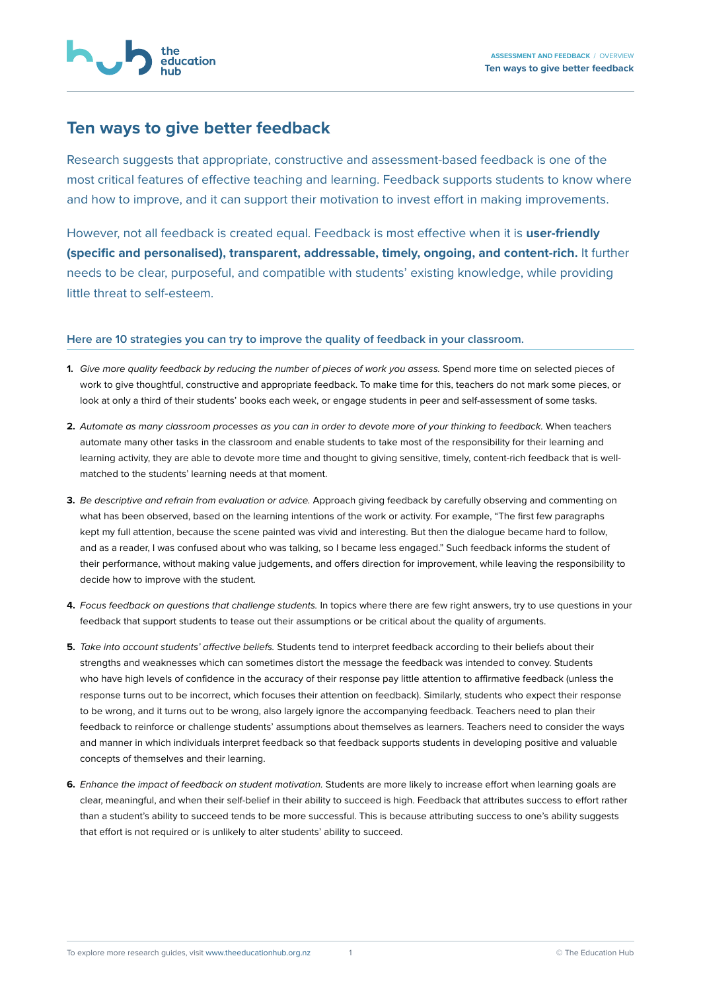## **Ten ways to give better feedback**

Research suggests that appropriate, constructive and assessment-based feedback is one of the most critical features of effective teaching and learning. Feedback supports students to know where and how to improve, and it can support their motivation to invest effort in making improvements.

However, not all feedback is created equal. Feedback is most effective when it is **user-friendly (specific and personalised), transparent, addressable, timely, ongoing, and content-rich.** It further needs to be clear, purposeful, and compatible with students' existing knowledge, while providing little threat to self-esteem.

## **Here are 10 strategies you can try to improve the quality of feedback in your classroom.**

- **1.** *Give more quality feedback by reducing the number of pieces of work you assess.* Spend more time on selected pieces of work to give thoughtful, constructive and appropriate feedback. To make time for this, teachers do not mark some pieces, or look at only a third of their students' books each week, or engage students in peer and self-assessment of some tasks.
- **2.** *Automate as many classroom processes as you can in order to devote more of your thinking to feedback.* When teachers automate many other tasks in the classroom and enable students to take most of the responsibility for their learning and learning activity, they are able to devote more time and thought to giving sensitive, timely, content-rich feedback that is wellmatched to the students' learning needs at that moment.
- **3.** *Be descriptive and refrain from evaluation or advice.* Approach giving feedback by carefully observing and commenting on what has been observed, based on the learning intentions of the work or activity. For example, "The first few paragraphs kept my full attention, because the scene painted was vivid and interesting. But then the dialogue became hard to follow, and as a reader, I was confused about who was talking, so I became less engaged." Such feedback informs the student of their performance, without making value judgements, and offers direction for improvement, while leaving the responsibility to decide how to improve with the student.
- **4.** *Focus feedback on questions that challenge students.* In topics where there are few right answers, try to use questions in your feedback that support students to tease out their assumptions or be critical about the quality of arguments.
- **5.** *Take into account students' affective beliefs.* Students tend to interpret feedback according to their beliefs about their strengths and weaknesses which can sometimes distort the message the feedback was intended to convey. Students who have high levels of confidence in the accuracy of their response pay little attention to affirmative feedback (unless the response turns out to be incorrect, which focuses their attention on feedback). Similarly, students who expect their response to be wrong, and it turns out to be wrong, also largely ignore the accompanying feedback. Teachers need to plan their feedback to reinforce or challenge students' assumptions about themselves as learners. Teachers need to consider the ways and manner in which individuals interpret feedback so that feedback supports students in developing positive and valuable concepts of themselves and their learning.
- **6.** *Enhance the impact of feedback on student motivation.* Students are more likely to increase effort when learning goals are clear, meaningful, and when their self-belief in their ability to succeed is high. Feedback that attributes success to effort rather than a student's ability to succeed tends to be more successful. This is because attributing success to one's ability suggests that effort is not required or is unlikely to alter students' ability to succeed.